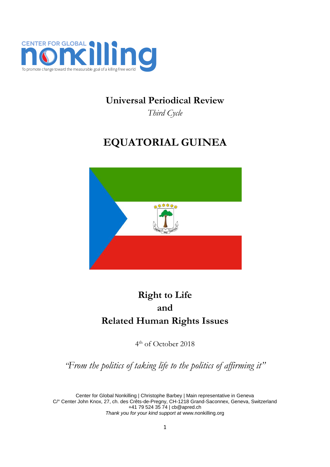

## **Universal Periodical Review**

*Third Cycle*

# **EQUATORIAL GUINEA**



## **Right to Life and Related Human Rights Issues**

4 th of October 2018

*"From the politics of taking life to the politics of affirming it"*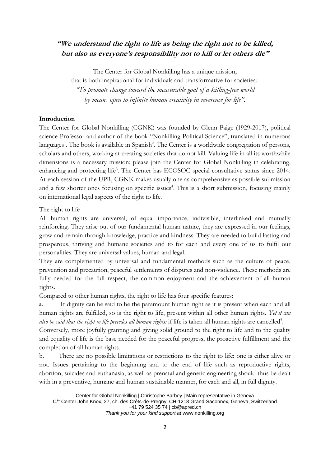### **"We understand the right to life as being the right not to be killed, but also as everyone's responsibility not to kill or let others die"**

The Center for Global Nonkilling has a unique mission, that is both inspirational for individuals and transformative for societies: *"To promote change toward the measurable goal of a killing-free world by means open to infinite human creativity in reverence for life".*

#### **Introduction**

The Center for Global Nonkilling (CGNK) was founded by Glenn Paige (1929-2017), political science Professor and author of the book "Nonkilling Political Science", translated in numerous languages<sup>1</sup>. The book is available in Spanish<sup>2</sup>. The Center is a worldwide congregation of persons, scholars and others, working at creating societies that do not kill. Valuing life in all its worthwhile dimensions is a necessary mission; please join the Center for Global Nonkilling in celebrating, enhancing and protecting life<sup>3</sup>. The Center has ECOSOC special consultative status since 2014. At each session of the UPR, CGNK makes usually one as comprehensive as possible submission and a few shorter ones focusing on specific issues<sup>4</sup>. This is a short submission, focusing mainly on international legal aspects of the right to life.

#### The right to life

All human rights are universal, of equal importance, indivisible, interlinked and mutually reinforcing. They arise out of our fundamental human nature, they are expressed in our feelings, grow and remain through knowledge, practice and kindness. They are needed to build lasting and prosperous, thriving and humane societies and to for each and every one of us to fulfil our personalities. They are universal values, human and legal.

They are complemented by universal and fundamental methods such as the culture of peace, prevention and precaution, peaceful settlements of disputes and non-violence. These methods are fully needed for the full respect, the common enjoyment and the achievement of all human rights.

Compared to other human rights, the right to life has four specific features:

If dignity can be said to be the paramount human right as it is present when each and all human rights are fulfilled, so is the right to life, present within all other human rights. *Yet it can*  also be said that the right to life precedes all human rights: if life is taken all human rights are cancelled<sup>5</sup>.

Conversely, more joyfully granting and giving solid ground to the right to life and to the quality and equality of life is the base needed for the peaceful progress, the proactive fulfillment and the completion of all human rights.

b. There are no possible limitations or restrictions to the right to life: one is either alive or not. Issues pertaining to the beginning and to the end of life such as reproductive rights, abortion, suicides and euthanasia, as well as prenatal and genetic engineering should thus be dealt with in a preventive, humane and human sustainable manner, for each and all, in full dignity.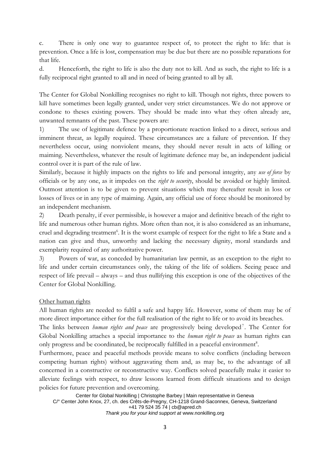c. There is only one way to guarantee respect of, to protect the right to life: that is prevention. Once a life is lost, compensation may be due but there are no possible reparations for that life.

d. Henceforth, the right to life is also the duty not to kill. And as such, the right to life is a fully reciprocal right granted to all and in need of being granted to all by all.

The Center for Global Nonkilling recognises no right to kill. Though not rights, three powers to kill have sometimes been legally granted, under very strict circumstances. We do not approve or condone to theses existing powers. They should be made into what they often already are, unwanted remnants of the past. These powers are:

1) The use of legitimate defence by a proportionate reaction linked to a direct, serious and imminent threat, as legally required. These circumstances are a failure of prevention. If they nevertheless occur, using nonviolent means, they should never result in acts of killing or maiming. Nevertheless, whatever the result of legitimate defence may be, an independent judicial control over it is part of the rule of law.

Similarly, because it highly impacts on the rights to life and personal integrity, any *use of force* by officials or by any one, as it impedes on the *right to security*, should be avoided or highly limited. Outmost attention is to be given to prevent situations which may thereafter result in loss or losses of lives or in any type of maiming. Again, any official use of force should be monitored by an independent mechanism.

2) Death penalty, if ever permissible, is however a major and definitive breach of the right to life and numerous other human rights. More often than not, it is also considered as an inhumane, cruel and degrading treatment<sup>6</sup>. It is the worst example of respect for the right to life a State and a nation can give and thus, unworthy and lacking the necessary dignity, moral standards and exemplarity required of any authoritative power.

3) Powers of war, as conceded by humanitarian law permit, as an exception to the right to life and under certain circumstances only, the taking of the life of soldiers. Seeing peace and respect of life prevail – always – and thus nullifying this exception is one of the objectives of the Center for Global Nonkilling.

#### Other human rights

All human rights are needed to fulfil a safe and happy life. However, some of them may be of more direct importance either for the full realisation of the right to life or to avoid its breaches.

The links between *human rights and peace* are progressively being developed<sup>7</sup>. The Center for Global Nonkilling attaches a special importance to the *human right to peace* as human rights can only progress and be coordinated, be reciprocally fulfilled in a peaceful environment<sup>8</sup>.

Furthermore, peace and peaceful methods provide means to solve conflicts (including between competing human rights) without aggravating them and, as may be, to the advantage of all concerned in a constructive or reconstructive way. Conflicts solved peacefully make it easier to alleviate feelings with respect, to draw lessons learned from difficult situations and to design policies for future prevention and overcoming.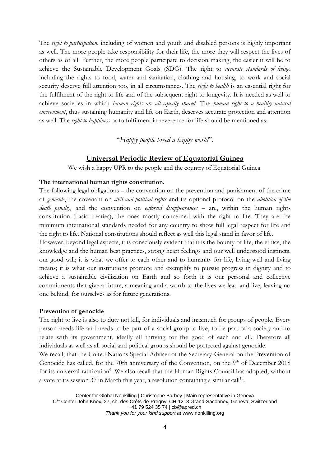The *right to participation*, including of women and youth and disabled persons is highly important as well. The more people take responsibility for their life, the more they will respect the lives of others as of all. Further, the more people participate to decision making, the easier it will be to achieve the Sustainable Development Goals (SDG). The right to *accurate standards of living*, including the rights to food, water and sanitation, clothing and housing, to work and social security deserve full attention too, in all circumstances. The *right to health* is an essential right for the fulfilment of the right to life and of the subsequent right to longevity. It is needed as well to achieve societies in which *human rights are all equally shared*. The *human right to a healthy natural environment*, thus sustaining humanity and life on Earth, deserves accurate protection and attention as well. The *right to happiness* or to fulfilment in reverence for life should be mentioned as:

"*Happy people breed a happy world*".

#### **Universal Periodic Review of Equatorial Guinea**

We wish a happy UPR to the people and the country of Equatorial Guinea.

#### **The international human rights constitution.**

The following legal obligations – the convention on the prevention and punishment of the crime of *genocide*, the covenant on *civil and political rights* and its optional protocol on the *abolition of the death penalty,* and the convention on *enforced disappearances* – are, within the human rights constitution (basic treaties), the ones mostly concerned with the right to life. They are the minimum international standards needed for any country to show full legal respect for life and the right to life. National constitutions should reflect as well this legal stand in favor of life.

However, beyond legal aspects, it is consciously evident that it is the bounty of life, the ethics, the knowledge and the human best practices, strong heart feelings and our well understood instincts, our good will; it is what we offer to each other and to humanity for life, living well and living means; it is what our institutions promote and exemplify to pursue progress in dignity and to achieve a sustainable civilization on Earth and so forth it is our personal and collective commitments that give a future, a meaning and a worth to the lives we lead and live, leaving no one behind, for ourselves as for future generations.

#### **Prevention of genocide**

The right to live is also to duty not kill, for individuals and inasmuch for groups of people. Every person needs life and needs to be part of a social group to live, to be part of a society and to relate with its government, ideally all thriving for the good of each and all. Therefore all individuals as well as all social and political groups should be protected against genocide.

We recall, that the United Nations Special Adviser of the Secretary-General on the Prevention of Genocide has called, for the 70th anniversary of the Convention, on the 9<sup>th</sup> of December 2018 for its universal ratification<sup>9</sup>. We also recall that the Human Rights Council has adopted, without a vote at its session 37 in March this year, a resolution containing a similar call<sup>10</sup>.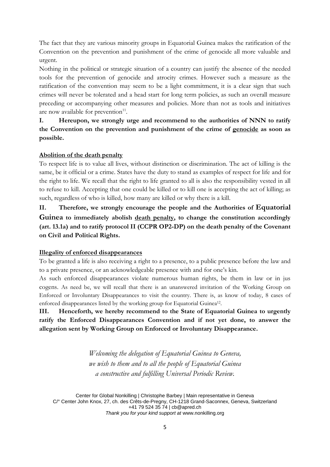The fact that they are various minority groups in Equatorial Guinea makes the ratification of the Convention on the prevention and punishment of the crime of genocide all more valuable and urgent.

Nothing in the political or strategic situation of a country can justify the absence of the needed tools for the prevention of genocide and atrocity crimes. However such a measure as the ratification of the convention may seem to be a light commitment, it is a clear sign that such crimes will never be tolerated and a head start for long term policies, as such an overall measure preceding or accompanying other measures and policies. More than not as tools and initiatives are now available for prevention<sup>11</sup>.

**I. Hereupon, we strongly urge and recommend to the authorities of NNN to ratify the Convention on the prevention and punishment of the crime of genocide as soon as possible.** 

#### **Abolition of the death penalty**

To respect life is to value all lives, without distinction or discrimination. The act of killing is the same, be it official or a crime. States have the duty to stand as examples of respect for life and for the right to life. We recall that the right to life granted to all is also the responsibility vested in all to refuse to kill. Accepting that one could be killed or to kill one is accepting the act of killing; as such, regardless of who is killed, how many are killed or why there is a kill.

**II. Therefore, we strongly encourage the people and the Authorities of Equatorial Guinea to immediately abolish death penalty, to change the constitution accordingly (art. 13.1a) and to ratify protocol II (CCPR OP2-DP) on the death penalty of the Covenant on Civil and Political Rights.**

#### **Illegality of enforced disappearances**

To be granted a life is also receiving a right to a presence, to a public presence before the law and to a private presence, or an acknowledgeable presence with and for one's kin.

As such enforced disappearances violate numerous human rights, be them in law or in jus cogens. As need be, we will recall that there is an unanswered invitation of the Working Group on Enforced or Involuntary Disappearances to visit the country. There is, as know of today, 8 cases of enforced disappearances listed by the working group for Equatorial Guinea<sup>12</sup>.

### **III. Henceforth, we hereby recommend to the State of Equatorial Guinea to urgently ratify the Enforced Disappearances Convention and if not yet done, to answer the allegation sent by Working Group on Enforced or Involuntary Disappearance.**

*Welcoming the delegation of Equatorial Guinea to Geneva, we wish to them and to all the people of Equatorial Guinea a constructive and fulfilling Universal Periodic Review.*